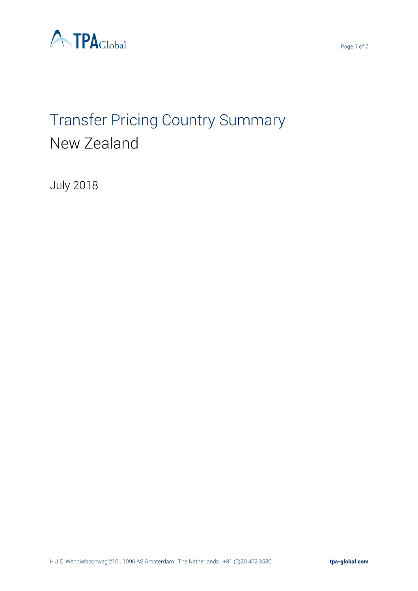

# Transfer Pricing Country Summary New Zealand

July 2018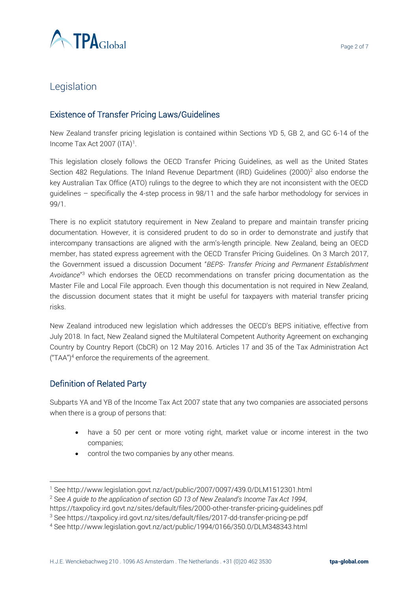

# Legislation

## Existence of Transfer Pricing Laws/Guidelines

New Zealand transfer pricing legislation is contained within Sections YD 5, GB 2, and GC 6-14 of the Income Tax Act 2007 (ITA)<sup>1</sup>.

This legislation closely follows the OECD Transfer Pricing Guidelines, as well as the United States Section 482 Regulations. The Inland Revenue Department (IRD) Guidelines (2000)<sup>2</sup> also endorse the key Australian Tax Office (ATO) rulings to the degree to which they are not inconsistent with the OECD guidelines – specifically the 4-step process in 98/11 and the safe harbor methodology for services in 99/1.

There is no explicit statutory requirement in New Zealand to prepare and maintain transfer pricing documentation. However, it is considered prudent to do so in order to demonstrate and justify that intercompany transactions are aligned with the arm's-length principle. New Zealand, being an OECD member, has stated express agreement with the OECD Transfer Pricing Guidelines. On 3 March 2017, the Government issued a discussion Document "*BEPS- Transfer Pricing and Permanent Establishment Avoidance*" <sup>3</sup> which endorses the OECD recommendations on transfer pricing documentation as the Master File and Local File approach. Even though this documentation is not required in New Zealand, the discussion document states that it might be useful for taxpayers with material transfer pricing risks.

New Zealand introduced new legislation which addresses the OECD's BEPS initiative, effective from July 2018. In fact, New Zealand signed the Multilateral Competent Authority Agreement on exchanging Country by Country Report (CbCR) on 12 May 2016. Articles 17 and 35 of the Tax Administration Act  $("TAA")<sup>4</sup>$  enforce the requirements of the agreement.

## Definition of Related Party

 $\overline{a}$ 

Subparts YA and YB of the Income Tax Act 2007 state that any two companies are associated persons when there is a group of persons that:

- have a 50 per cent or more voting right, market value or income interest in the two companies;
- control the two companies by any other means.

<sup>1</sup> See http://www.legislation.govt.nz/act/public/2007/0097/439.0/DLM1512301.html

<sup>2</sup> See *A guide to the application of section GD 13 of New Zealand's Income Tax Act 1994*,

https://taxpolicy.ird.govt.nz/sites/default/files/2000-other-transfer-pricing-guidelines.pdf

<sup>3</sup> See https://taxpolicy.ird.govt.nz/sites/default/files/2017-dd-transfer-pricing-pe.pdf

<sup>4</sup> See http://www.legislation.govt.nz/act/public/1994/0166/350.0/DLM348343.html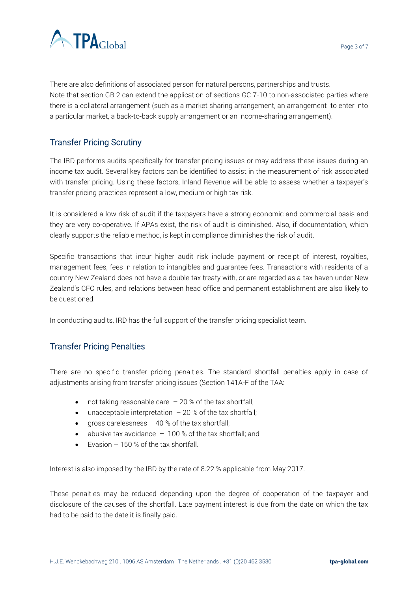



There are also definitions of associated person for natural persons, partnerships and trusts. Note that section GB 2 can extend the application of sections GC 7-10 to non-associated parties where there is a collateral arrangement (such as a market sharing arrangement, an arrangement to enter into a particular market, a back-to-back supply arrangement or an income-sharing arrangement).

## Transfer Pricing Scrutiny

The IRD performs audits specifically for transfer pricing issues or may address these issues during an income tax audit. Several key factors can be identified to assist in the measurement of risk associated with transfer pricing. Using these factors, Inland Revenue will be able to assess whether a taxpayer's transfer pricing practices represent a low, medium or high tax risk.

It is considered a low risk of audit if the taxpayers have a strong economic and commercial basis and they are very co-operative. If APAs exist, the risk of audit is diminished. Also, if documentation, which clearly supports the reliable method, is kept in compliance diminishes the risk of audit.

Specific transactions that incur higher audit risk include payment or receipt of interest, royalties, management fees, fees in relation to intangibles and guarantee fees. Transactions with residents of a country New Zealand does not have a double tax treaty with, or are regarded as a tax haven under New Zealand's CFC rules, and relations between head office and permanent establishment are also likely to be questioned.

In conducting audits, IRD has the full support of the transfer pricing specialist team.

## Transfer Pricing Penalties

There are no specific transfer pricing penalties. The standard shortfall penalties apply in case of adjustments arising from transfer pricing issues (Section 141A-F of the TAA:

- not taking reasonable care  $-20$  % of the tax shortfall;
- unacceptable interpretation  $-20$  % of the tax shortfall;
- gross carelessness  $-40$  % of the tax shortfall;
- abusive tax avoidance  $-100$  % of the tax shortfall; and
- Evasion 150 % of the tax shortfall.

Interest is also imposed by the IRD by the rate of 8.22 % applicable from May 2017.

These penalties may be reduced depending upon the degree of cooperation of the taxpayer and disclosure of the causes of the shortfall. Late payment interest is due from the date on which the tax had to be paid to the date it is finally paid.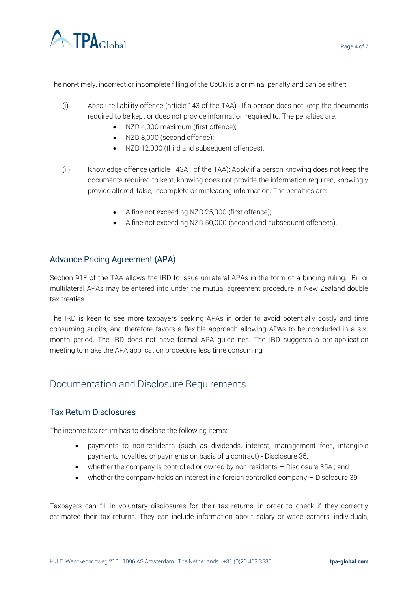

The non-timely, incorrect or incomplete filling of the CbCR is a criminal penalty and can be either:

- (i) Absolute liability offence (article 143 of the TAA): If a person does not keep the documents required to be kept or does not provide information required to. The penalties are:
	- NZD 4,000 maximum (first offence);
	- NZD 8,000 (second offence);
	- NZD 12,000 (third and subsequent offences).
- (ii) Knowledge offence (article 143A1 of the TAA): Apply if a person knowing does not keep the documents required to kept, knowing does not provide the information required, knowingly provide altered, false, incomplete or misleading information. The penalties are:
	- A fine not exceeding NZD 25,000 (first offence);
	- A fine not exceeding NZD 50,000 (second and subsequent offences).

## Advance Pricing Agreement (APA)

Section 91E of the TAA allows the IRD to issue unilateral APAs in the form of a binding ruling. Bi- or multilateral APAs may be entered into under the mutual agreement procedure in New Zealand double tax treaties.

The IRD is keen to see more taxpayers seeking APAs in order to avoid potentially costly and time consuming audits, and therefore favors a flexible approach allowing APAs to be concluded in a sixmonth period. The IRD does not have formal APA guidelines. The IRD suggests a pre-application meeting to make the APA application procedure less time consuming.

# Documentation and Disclosure Requirements

#### Tax Return Disclosures

The income tax return has to disclose the following items:

- payments to non-residents (such as dividends, interest, management fees, intangible payments, royalties or payments on basis of a contract) - Disclosure 35;
- whether the company is controlled or owned by non-residents Disclosure 35A; and
- whether the company holds an interest in a foreign controlled company Disclosure 39.

Taxpayers can fill in voluntary disclosures for their tax returns, in order to check if they correctly estimated their tax returns. They can include information about salary or wage earners, individuals,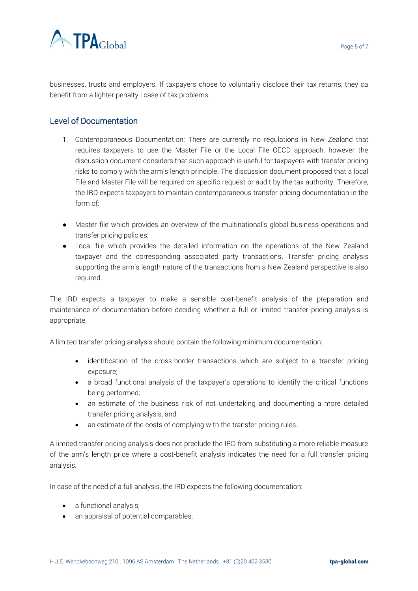

businesses, trusts and employers. If taxpayers chose to voluntarily disclose their tax returns, they ca benefit from a lighter penalty I case of tax problems.

#### Level of Documentation

- 1. Contemporaneous Documentation: There are currently no regulations in New Zealand that requires taxpayers to use the Master File or the Local File OECD approach; however the discussion document considers that such approach is useful for taxpayers with transfer pricing risks to comply with the arm's length principle. The discussion document proposed that a local File and Master File will be required on specific request or audit by the tax authority. Therefore, the IRD expects taxpayers to maintain contemporaneous transfer pricing documentation in the form of:
- Master file which provides an overview of the multinational's global business operations and transfer pricing policies;
- Local file which provides the detailed information on the operations of the New Zealand taxpayer and the corresponding associated party transactions. Transfer pricing analysis supporting the arm's length nature of the transactions from a New Zealand perspective is also required.

The IRD expects a taxpayer to make a sensible cost-benefit analysis of the preparation and maintenance of documentation before deciding whether a full or limited transfer pricing analysis is appropriate.

A limited transfer pricing analysis should contain the following minimum documentation:

- identification of the cross-border transactions which are subject to a transfer pricing exposure;
- a broad functional analysis of the taxpayer's operations to identify the critical functions being performed;
- an estimate of the business risk of not undertaking and documenting a more detailed transfer pricing analysis; and
- an estimate of the costs of complying with the transfer pricing rules.

A limited transfer pricing analysis does not preclude the IRD from substituting a more reliable measure of the arm's length price where a cost-benefit analysis indicates the need for a full transfer pricing analysis.

In case of the need of a full analysis, the IRD expects the following documentation:

- a functional analysis;
- an appraisal of potential comparables;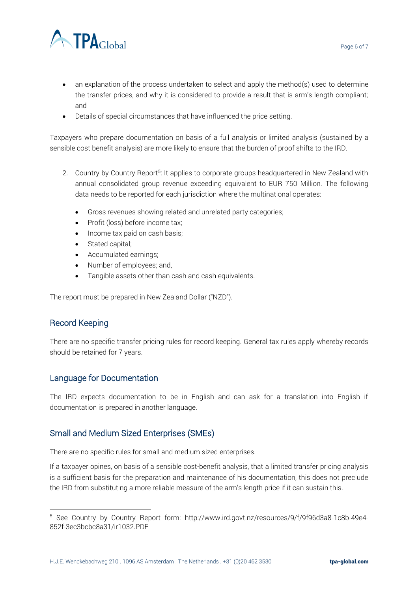

- an explanation of the process undertaken to select and apply the method(s) used to determine the transfer prices, and why it is considered to provide a result that is arm's length compliant; and
- Details of special circumstances that have influenced the price setting.

Taxpayers who prepare documentation on basis of a full analysis or limited analysis (sustained by a sensible cost benefit analysis) are more likely to ensure that the burden of proof shifts to the IRD.

- 2. Country by Country Report<sup>5</sup>: It applies to corporate groups headquartered in New Zealand with annual consolidated group revenue exceeding equivalent to EUR 750 Million. The following data needs to be reported for each jurisdiction where the multinational operates:
	- Gross revenues showing related and unrelated party categories;
	- Profit (loss) before income tax;
	- Income tax paid on cash basis;
	- Stated capital;
	- Accumulated earnings;
	- Number of employees; and,
	- Tangible assets other than cash and cash equivalents.

The report must be prepared in New Zealand Dollar ("NZD").

#### Record Keeping

 $\overline{a}$ 

There are no specific transfer pricing rules for record keeping. General tax rules apply whereby records should be retained for 7 years.

#### Language for Documentation

The IRD expects documentation to be in English and can ask for a translation into English if documentation is prepared in another language.

#### Small and Medium Sized Enterprises (SMEs)

There are no specific rules for small and medium sized enterprises.

If a taxpayer opines, on basis of a sensible cost-benefit analysis, that a limited transfer pricing analysis is a sufficient basis for the preparation and maintenance of his documentation, this does not preclude the IRD from substituting a more reliable measure of the arm's length price if it can sustain this.

<sup>5</sup> See Country by Country Report form: http://www.ird.govt.nz/resources/9/f/9f96d3a8-1c8b-49e4- 852f-3ec3bcbc8a31/ir1032.PDF